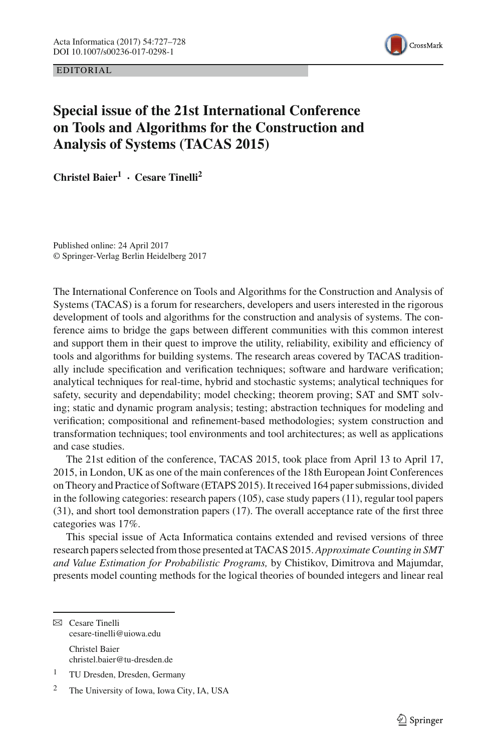EDITORIAL



## **Special issue of the 21st International Conference on Tools and Algorithms for the Construction and Analysis of Systems (TACAS 2015)**

**Christel Baier<sup>1</sup> · Cesare Tinelli<sup>2</sup>**

Published online: 24 April 2017 © Springer-Verlag Berlin Heidelberg 2017

The International Conference on Tools and Algorithms for the Construction and Analysis of Systems (TACAS) is a forum for researchers, developers and users interested in the rigorous development of tools and algorithms for the construction and analysis of systems. The conference aims to bridge the gaps between different communities with this common interest and support them in their quest to improve the utility, reliability, exibility and efficiency of tools and algorithms for building systems. The research areas covered by TACAS traditionally include specification and verification techniques; software and hardware verification; analytical techniques for real-time, hybrid and stochastic systems; analytical techniques for safety, security and dependability; model checking; theorem proving; SAT and SMT solving; static and dynamic program analysis; testing; abstraction techniques for modeling and verification; compositional and refinement-based methodologies; system construction and transformation techniques; tool environments and tool architectures; as well as applications and case studies.

The 21st edition of the conference, TACAS 2015, took place from April 13 to April 17, 2015, in London, UK as one of the main conferences of the 18th European Joint Conferences on Theory and Practice of Software (ETAPS 2015). It received 164 paper submissions, divided in the following categories: research papers (105), case study papers (11), regular tool papers (31), and short tool demonstration papers (17). The overall acceptance rate of the first three categories was 17%.

This special issue of Acta Informatica contains extended and revised versions of three research papers selected from those presented at TACAS 2015. *Approximate Counting in SMT and Value Estimation for Probabilistic Programs,* by Chistikov, Dimitrova and Majumdar, presents model counting methods for the logical theories of bounded integers and linear real

 $\boxtimes$  Cesare Tinelli cesare-tinelli@uiowa.edu Christel Baier christel.baier@tu-dresden.de

<sup>1</sup> TU Dresden, Dresden, Germany

<sup>2</sup> The University of Iowa, Iowa City, IA, USA